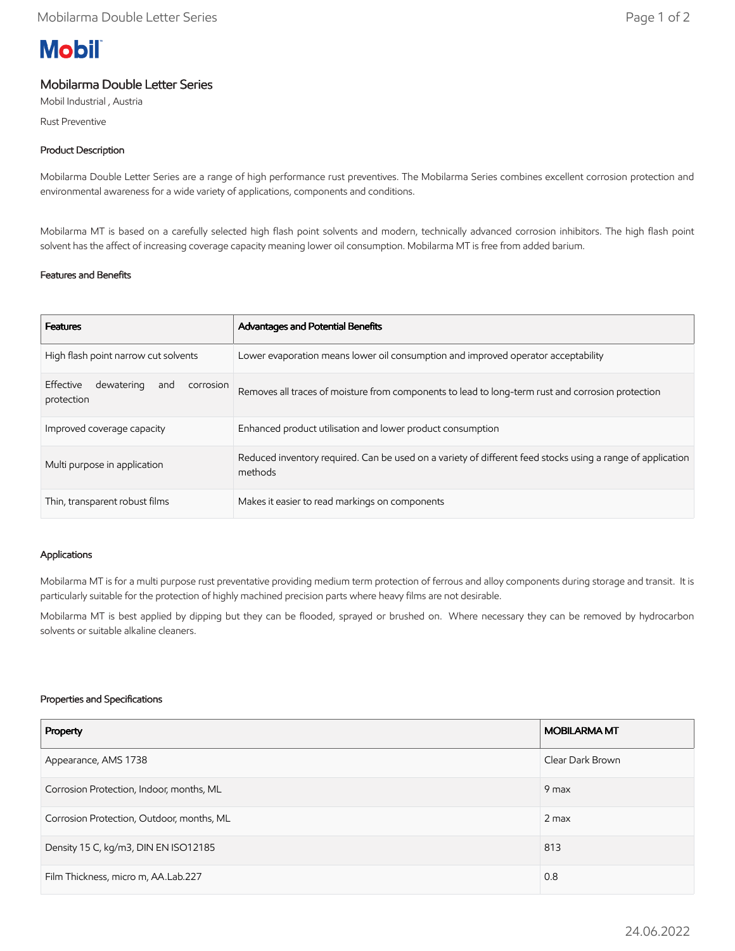# **Mobil**

# Mobilarma Double Letter Series

Mobil Industrial , Austria

Rust Preventive

## Product Description

Mobilarma Double Letter Series are a range of high performance rust preventives. The Mobilarma Series combines excellent corrosion protection and environmental awareness for a wide variety of applications, components and conditions.

Mobilarma MT is based on a carefully selected high flash point solvents and modern, technically advanced corrosion inhibitors. The high flash point solvent has the affect of increasing coverage capacity meaning lower oil consumption. Mobilarma MT is free from added barium.

## Features and Benefits

| <b>Features</b>                                           | Advantages and Potential Benefits                                                                                     |
|-----------------------------------------------------------|-----------------------------------------------------------------------------------------------------------------------|
| High flash point narrow cut solvents                      | Lower evaporation means lower oil consumption and improved operator acceptability                                     |
| Effective<br>dewatering<br>corrosion<br>and<br>protection | Removes all traces of moisture from components to lead to long-term rust and corrosion protection                     |
| Improved coverage capacity                                | Enhanced product utilisation and lower product consumption                                                            |
| Multi purpose in application                              | Reduced inventory required. Can be used on a variety of different feed stocks using a range of application<br>methods |
| Thin, transparent robust films                            | Makes it easier to read markings on components                                                                        |

#### Applications

Mobilarma MT is for a multi purpose rust preventative providing medium term protection of ferrous and alloy components during storage and transit. It is particularly suitable for the protection of highly machined precision parts where heavy films are not desirable.

Mobilarma MT is best applied by dipping but they can be flooded, sprayed or brushed on. Where necessary they can be removed by hydrocarbon solvents or suitable alkaline cleaners.

#### Properties and Specifications

| Property                                  | <b>MOBILARMA MT</b> |
|-------------------------------------------|---------------------|
| Appearance, AMS 1738                      | Clear Dark Brown    |
| Corrosion Protection, Indoor, months, ML  | 9 max               |
| Corrosion Protection, Outdoor, months, ML | $2$ max             |
| Density 15 C, kg/m3, DIN EN ISO12185      | 813                 |
| Film Thickness, micro m, AA.Lab.227       | 0.8                 |